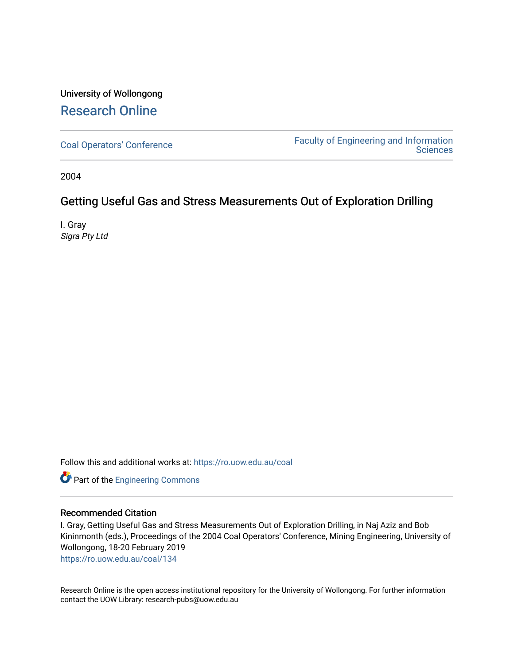## University of Wollongong [Research Online](https://ro.uow.edu.au/)

[Coal Operators' Conference](https://ro.uow.edu.au/coal) [Faculty of Engineering and Information](https://ro.uow.edu.au/eis)  **Sciences** 

2004

## Getting Useful Gas and Stress Measurements Out of Exploration Drilling

I. Gray Sigra Pty Ltd

Follow this and additional works at: [https://ro.uow.edu.au/coal](https://ro.uow.edu.au/coal?utm_source=ro.uow.edu.au%2Fcoal%2F134&utm_medium=PDF&utm_campaign=PDFCoverPages) 

Part of the [Engineering Commons](http://network.bepress.com/hgg/discipline/217?utm_source=ro.uow.edu.au%2Fcoal%2F134&utm_medium=PDF&utm_campaign=PDFCoverPages)

### Recommended Citation

I. Gray, Getting Useful Gas and Stress Measurements Out of Exploration Drilling, in Naj Aziz and Bob Kininmonth (eds.), Proceedings of the 2004 Coal Operators' Conference, Mining Engineering, University of Wollongong, 18-20 February 2019

[https://ro.uow.edu.au/coal/134](https://ro.uow.edu.au/coal/134?utm_source=ro.uow.edu.au%2Fcoal%2F134&utm_medium=PDF&utm_campaign=PDFCoverPages) 

Research Online is the open access institutional repository for the University of Wollongong. For further information contact the UOW Library: research-pubs@uow.edu.au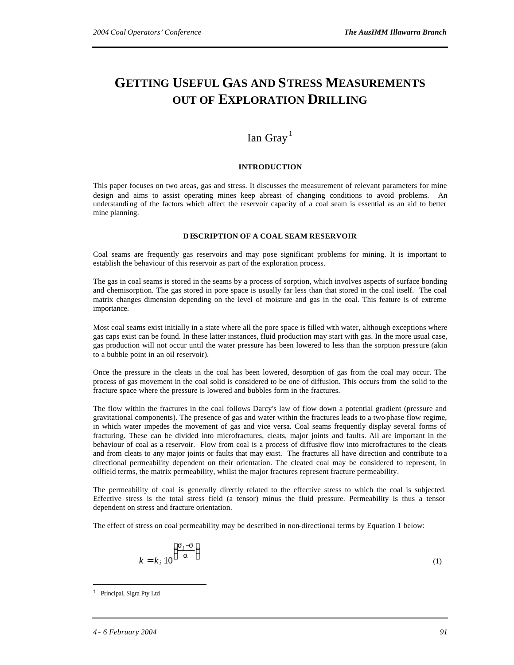# **GETTING USEFUL GAS AND STRESS MEASUREMENTS OUT OF EXPLORATION DRILLING**

### Ian Gray<sup>1</sup>

#### **INTRODUCTION**

This paper focuses on two areas, gas and stress. It discusses the measurement of relevant parameters for mine design and aims to assist operating mines keep abreast of changing conditions to avoid problems. An understandi ng of the factors which affect the reservoir capacity of a coal seam is essential as an aid to better mine planning.

#### **D ESCRIPTION OF A COAL SEAM RESERVOIR**

Coal seams are frequently gas reservoirs and may pose significant problems for mining. It is important to establish the behaviour of this reservoir as part of the exploration process.

The gas in coal seams is stored in the seams by a process of sorption, which involves aspects of surface bonding and chemisorption. The gas stored in pore space is usually far less than that stored in the coal itself. The coal matrix changes dimension depending on the level of moisture and gas in the coal. This feature is of extreme importance.

Most coal seams exist initially in a state where all the pore space is filled with water, although exceptions where gas caps exist can be found. In these latter instances, fluid production may start with gas. In the more usual case, gas production will not occur until the water pressure has been lowered to less than the sorption pressure (akin to a bubble point in an oil reservoir).

Once the pressure in the cleats in the coal has been lowered, desorption of gas from the coal may occur. The process of gas movement in the coal solid is considered to be one of diffusion. This occurs from the solid to the fracture space where the pressure is lowered and bubbles form in the fractures.

The flow within the fractures in the coal follows Darcy's law of flow down a potential gradient (pressure and gravitational components). The presence of gas and water within the fractures leads to a two-phase flow regime, in which water impedes the movement of gas and vice versa. Coal seams frequently display several forms of fracturing. These can be divided into microfractures, cleats, major joints and faults. All are important in the behaviour of coal as a reservoir. Flow from coal is a process of diffusive flow into microfractures to the cleats and from cleats to any major joints or faults that may exist. The fractures all have direction and contribute to a directional permeability dependent on their orientation. The cleated coal may be considered to represent, in oilfield terms, the matrix permeability, whilst the major fractures represent fracture permeability.

The permeability of coal is generally directly related to the effective stress to which the coal is subjected. Effective stress is the total stress field (a tensor) minus the fluid pressure. Permeability is thus a tensor dependent on stress and fracture orientation.

The effect of stress on coal permeability may be described in non-directional terms by Equation 1 below:

$$
k = k_i \, 10^{\left(\frac{\mathbf{S}_i - \mathbf{S}}{a}\right)}\tag{1}
$$

 $\overline{a}$ 

<sup>&</sup>lt;sup>1</sup> Principal, Sigra Pty Ltd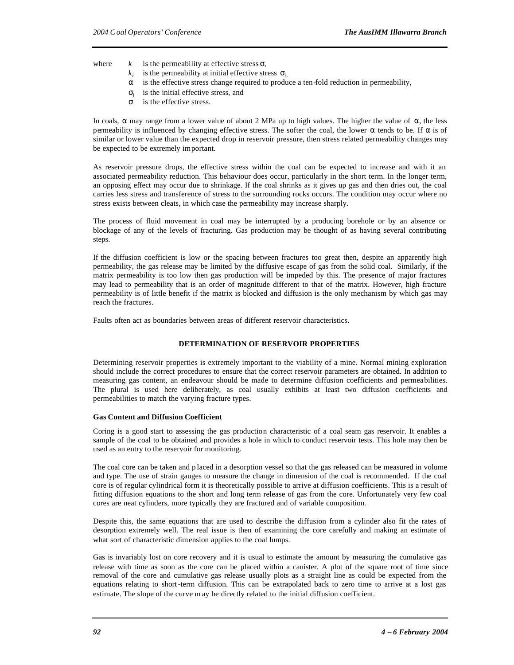where  $k$  is the permeability at effective stress  $s$ ,

- $k_i$  is the permeability at initial effective stress  $s_i$ ,
- *a* is the effective stress change required to produce a ten-fold reduction in permeability,
- $s_i$  is the initial effective stress, and
- *s* is the effective stress.

In coals, *a* may range from a lower value of about 2 MPa up to high values. The higher the value of *a*, the less permeability is influenced by changing effective stress. The softer the coal, the lower *a* tends to be. If *a* is of similar or lower value than the expected drop in reservoir pressure, then stress related permeability changes may be expected to be extremely important.

As reservoir pressure drops, the effective stress within the coal can be expected to increase and with it an associated permeability reduction. This behaviour does occur, particularly in the short term. In the longer term, an opposing effect may occur due to shrinkage. If the coal shrinks as it gives up gas and then dries out, the coal carries less stress and transference of stress to the surrounding rocks occurs. The condition may occur where no stress exists between cleats, in which case the permeability may increase sharply.

The process of fluid movement in coal may be interrupted by a producing borehole or by an absence or blockage of any of the levels of fracturing. Gas production may be thought of as having several contributing steps.

If the diffusion coefficient is low or the spacing between fractures too great then, despite an apparently high permeability, the gas release may be limited by the diffusive escape of gas from the solid coal. Similarly, if the matrix permeability is too low then gas production will be impeded by this. The presence of major fractures may lead to permeability that is an order of magnitude different to that of the matrix. However, high fracture permeability is of little benefit if the matrix is blocked and diffusion is the only mechanism by which gas may reach the fractures.

Faults often act as boundaries between areas of different reservoir characteristics.

#### **DETERMINATION OF RESERVOIR PROPERTIES**

Determining reservoir properties is extremely important to the viability of a mine. Normal mining exploration should include the correct procedures to ensure that the correct reservoir parameters are obtained. In addition to measuring gas content, an endeavour should be made to determine diffusion coefficients and permeabilities. The plural is used here deliberately, as coal usually exhibits at least two diffusion coefficients and permeabilities to match the varying fracture types.

#### **Gas Content and Diffusion Coefficient**

Coring is a good start to assessing the gas production characteristic of a coal seam gas reservoir. It enables a sample of the coal to be obtained and provides a hole in which to conduct reservoir tests. This hole may then be used as an entry to the reservoir for monitoring.

The coal core can be taken and p laced in a desorption vessel so that the gas released can be measured in volume and type. The use of strain gauges to measure the change in dimension of the coal is recommended. If the coal core is of regular cylindrical form it is theoretically possible to arrive at diffusion coefficients. This is a result of fitting diffusion equations to the short and long term release of gas from the core. Unfortunately very few coal cores are neat cylinders, more typically they are fractured and of variable composition.

Despite this, the same equations that are used to describe the diffusion from a cylinder also fit the rates of desorption extremely well. The real issue is then of examining the core carefully and making an estimate of what sort of characteristic dimension applies to the coal lumps.

Gas is invariably lost on core recovery and it is usual to estimate the amount by measuring the cumulative gas release with time as soon as the core can be placed within a canister. A plot of the square root of time since removal of the core and cumulative gas release usually plots as a straight line as could be expected from the equations relating to short-term diffusion. This can be extrapolated back to zero time to arrive at a lost gas estimate. The slope of the curve m ay be directly related to the initial diffusion coefficient.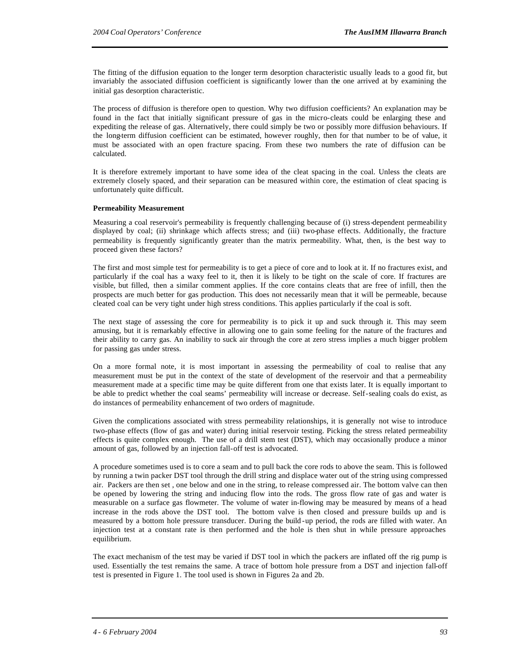The fitting of the diffusion equation to the longer term desorption characteristic usually leads to a good fit, but invariably the associated diffusion coefficient is significantly lower than the one arrived at by examining the initial gas desorption characteristic.

The process of diffusion is therefore open to question. Why two diffusion coefficients? An explanation may be found in the fact that initially significant pressure of gas in the micro-cleats could be enlarging these and expediting the release of gas. Alternatively, there could simply be two or possibly more diffusion behaviours. If the long-term diffusion coefficient can be estimated, however roughly, then for that number to be of value, it must be associated with an open fracture spacing. From these two numbers the rate of diffusion can be calculated.

It is therefore extremely important to have some idea of the cleat spacing in the coal. Unless the cleats are extremely closely spaced, and their separation can be measured within core, the estimation of cleat spacing is unfortunately quite difficult.

#### **Permeability Measurement**

Measuring a coal reservoir's permeability is frequently challenging because of (i) stress-dependent permeability displayed by coal; (ii) shrinkage which affects stress; and (iii) two-phase effects. Additionally, the fracture permeability is frequently significantly greater than the matrix permeability. What, then, is the best way to proceed given these factors?

The first and most simple test for permeability is to get a piece of core and to look at it. If no fractures exist, and particularly if the coal has a waxy feel to it, then it is likely to be tight on the scale of core. If fractures are visible, but filled, then a similar comment applies. If the core contains cleats that are free of infill, then the prospects are much better for gas production. This does not necessarily mean that it will be permeable, because cleated coal can be very tight under high stress conditions. This applies particularly if the coal is soft.

The next stage of assessing the core for permeability is to pick it up and suck through it. This may seem amusing, but it is remarkably effective in allowing one to gain some feeling for the nature of the fractures and their ability to carry gas. An inability to suck air through the core at zero stress implies a much bigger problem for passing gas under stress.

On a more formal note, it is most important in assessing the permeability of coal to realise that any measurement must be put in the context of the state of development of the reservoir and that a permeability measurement made at a specific time may be quite different from one that exists later. It is equally important to be able to predict whether the coal seams' permeability will increase or decrease. Self-sealing coals do exist, as do instances of permeability enhancement of two orders of magnitude.

Given the complications associated with stress permeability relationships, it is generally not wise to introduce two-phase effects (flow of gas and water) during initial reservoir testing. Picking the stress related permeability effects is quite complex enough. The use of a drill stem test (DST), which may occasionally produce a minor amount of gas, followed by an injection fall-off test is advocated.

A procedure sometimes used is to core a seam and to pull back the core rods to above the seam. This is followed by running a twin packer DST tool through the drill string and displace water out of the string using compressed air. Packers are then set , one below and one in the string, to release compressed air. The bottom valve can then be opened by lowering the string and inducing flow into the rods. The gross flow rate of gas and water is measurable on a surface gas flowmeter. The volume of water in-flowing may be measured by means of a head increase in the rods above the DST tool. The bottom valve is then closed and pressure builds up and is measured by a bottom hole pressure transducer. During the build -up period, the rods are filled with water. An injection test at a constant rate is then performed and the hole is then shut in while pressure approaches equilibrium.

The exact mechanism of the test may be varied if DST tool in which the packers are inflated off the rig pump is used. Essentially the test remains the same. A trace of bottom hole pressure from a DST and injection fall-off test is presented in Figure 1. The tool used is shown in Figures 2a and 2b.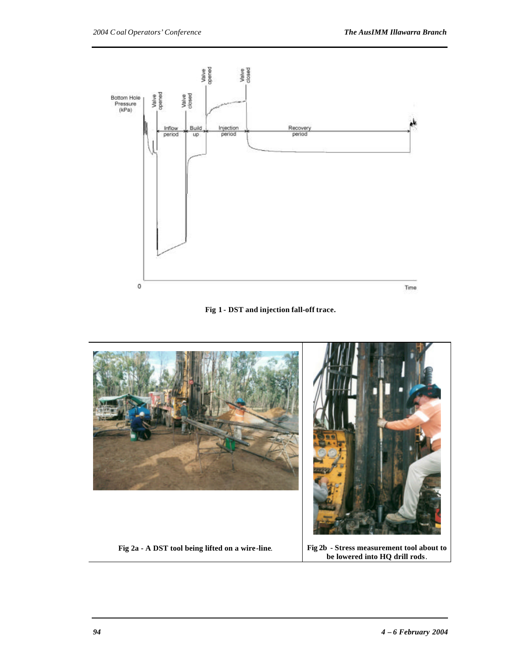



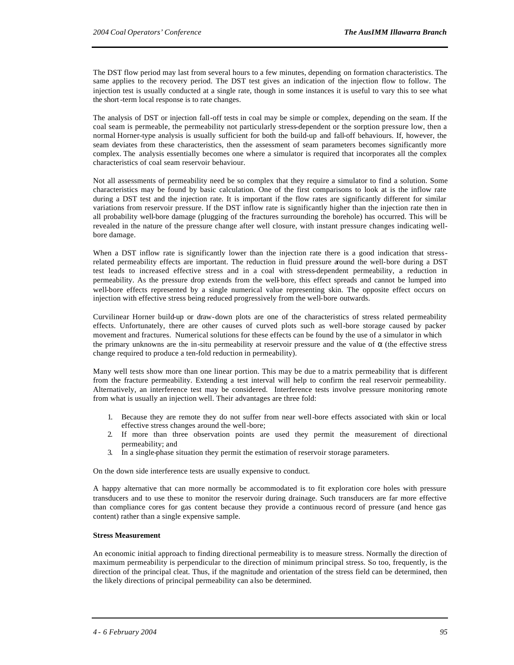The DST flow period may last from several hours to a few minutes, depending on formation characteristics. The same applies to the recovery period. The DST test gives an indication of the injection flow to follow. The injection test is usually conducted at a single rate, though in some instances it is useful to vary this to see what the short-term local response is to rate changes.

The analysis of DST or injection fall-off tests in coal may be simple or complex, depending on the seam. If the coal seam is permeable, the permeability not particularly stress-dependent or the sorption pressure low, then a normal Horner-type analysis is usually sufficient for both the build-up and fall-off behaviours. If, however, the seam deviates from these characteristics, then the assessment of seam parameters becomes significantly more complex. The analysis essentially becomes one where a simulator is required that incorporates all the complex characteristics of coal seam reservoir behaviour.

Not all assessments of permeability need be so complex that they require a simulator to find a solution. Some characteristics may be found by basic calculation. One of the first comparisons to look at is the inflow rate during a DST test and the injection rate. It is important if the flow rates are significantly different for similar variations from reservoir pressure. If the DST inflow rate is significantly higher than the injection rate then in all probability well-bore damage (plugging of the fractures surrounding the borehole) has occurred. This will be revealed in the nature of the pressure change after well closure, with instant pressure changes indicating wellbore damage.

When a DST inflow rate is significantly lower than the injection rate there is a good indication that stressrelated permeability effects are important. The reduction in fluid pressure around the well-bore during a DST test leads to increased effective stress and in a coal with stress-dependent permeability, a reduction in permeability. As the pressure drop extends from the well-bore, this effect spreads and cannot be lumped into well-bore effects represented by a single numerical value representing skin. The opposite effect occurs on injection with effective stress being reduced progressively from the well-bore outwards.

Curvilinear Horner build-up or draw-down plots are one of the characteristics of stress related permeability effects. Unfortunately, there are other causes of curved plots such as well-bore storage caused by packer movement and fractures. Numerical solutions for these effects can be found by the use of a simulator in which the primary unknowns are the in-situ permeability at reservoir pressure and the value of *a* (the effective stress change required to produce a ten-fold reduction in permeability).

Many well tests show more than one linear portion. This may be due to a matrix permeability that is different from the fracture permeability. Extending a test interval will help to confirm the real reservoir permeability. Alternatively, an interference test may be considered. Interference tests involve pressure monitoring remote from what is usually an injection well. Their advantages are three fold:

- 1. Because they are remote they do not suffer from near well-bore effects associated with skin or local effective stress changes around the well-bore;
- 2. If more than three observation points are used they permit the measurement of directional permeability; and
- 3. In a single-phase situation they permit the estimation of reservoir storage parameters.

On the down side interference tests are usually expensive to conduct.

A happy alternative that can more normally be accommodated is to fit exploration core holes with pressure transducers and to use these to monitor the reservoir during drainage. Such transducers are far more effective than compliance cores for gas content because they provide a continuous record of pressure (and hence gas content) rather than a single expensive sample.

#### **Stress Measurement**

An economic initial approach to finding directional permeability is to measure stress. Normally the direction of maximum permeability is perpendicular to the direction of minimum principal stress. So too, frequently, is the direction of the principal cleat. Thus, if the magnitude and orientation of the stress field can be determined, then the likely directions of principal permeability can also be determined.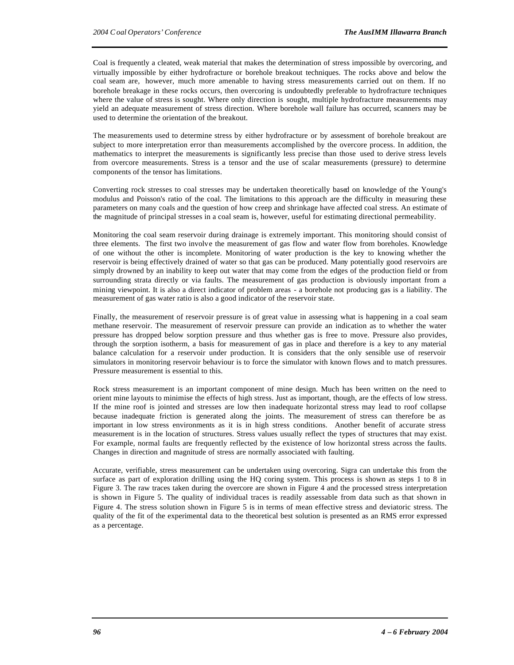Coal is frequently a cleated, weak material that makes the determination of stress impossible by overcoring, and virtually impossible by either hydrofracture or borehole breakout techniques. The rocks above and below the coal seam are, however, much more amenable to having stress measurements carried out on them. If no borehole breakage in these rocks occurs, then overcoring is undoubtedly preferable to hydrofracture techniques where the value of stress is sought. Where only direction is sought, multiple hydrofracture measurements may yield an adequate measurement of stress direction. Where borehole wall failure has occurred, scanners may be used to determine the orientation of the breakout.

The measurements used to determine stress by either hydrofracture or by assessment of borehole breakout are subject to more interpretation error than measurements accomplished by the overcore process. In addition, the mathematics to interpret the measurements is significantly less precise than those used to derive stress levels from overcore measurements. Stress is a tensor and the use of scalar measurements (pressure) to determine components of the tensor has limitations.

Converting rock stresses to coal stresses may be undertaken theoretically based on knowledge of the Young's modulus and Poisson's ratio of the coal. The limitations to this approach are the difficulty in measuring these parameters on many coals and the question of how creep and shrinkage have affected coal stress. An estimate of the magnitude of principal stresses in a coal seam is, however, useful for estimating directional permeability.

Monitoring the coal seam reservoir during drainage is extremely important. This monitoring should consist of three elements. The first two involve the measurement of gas flow and water flow from boreholes. Knowledge of one without the other is incomplete. Monitoring of water production is the key to knowing whether the reservoir is being effectively drained of water so that gas can be produced. Many potentially good reservoirs are simply drowned by an inability to keep out water that may come from the edges of the production field or from surrounding strata directly or via faults. The measurement of gas production is obviously important from a mining viewpoint. It is also a direct indicator of problem areas - a borehole not producing gas is a liability. The measurement of gas water ratio is also a good indicator of the reservoir state.

Finally, the measurement of reservoir pressure is of great value in assessing what is happening in a coal seam methane reservoir. The measurement of reservoir pressure can provide an indication as to whether the water pressure has dropped below sorption pressure and thus whether gas is free to move. Pressure also provides, through the sorption isotherm, a basis for measurement of gas in place and therefore is a key to any material balance calculation for a reservoir under production. It is considers that the only sensible use of reservoir simulators in monitoring reservoir behaviour is to force the simulator with known flows and to match pressures. Pressure measurement is essential to this.

Rock stress measurement is an important component of mine design. Much has been written on the need to orient mine layouts to minimise the effects of high stress. Just as important, though, are the effects of low stress. If the mine roof is jointed and stresses are low then inadequate horizontal stress may lead to roof collapse because inadequate friction is generated along the joints. The measurement of stress can therefore be as important in low stress environments as it is in high stress conditions. Another benefit of accurate stress measurement is in the location of structures. Stress values usually reflect the types of structures that may exist. For example, normal faults are frequently reflected by the existence of low horizontal stress across the faults. Changes in direction and magnitude of stress are normally associated with faulting.

Accurate, verifiable, stress measurement can be undertaken using overcoring. Sigra can undertake this from the surface as part of exploration drilling using the HQ coring system. This process is shown as steps 1 to 8 in Figure 3. The raw traces taken during the overcore are shown in Figure 4 and the processed stress interpretation is shown in Figure 5. The quality of individual traces is readily assessable from data such as that shown in Figure 4. The stress solution shown in Figure 5 is in terms of mean effective stress and deviatoric stress. The quality of the fit of the experimental data to the theoretical best solution is presented as an RMS error expressed as a percentage.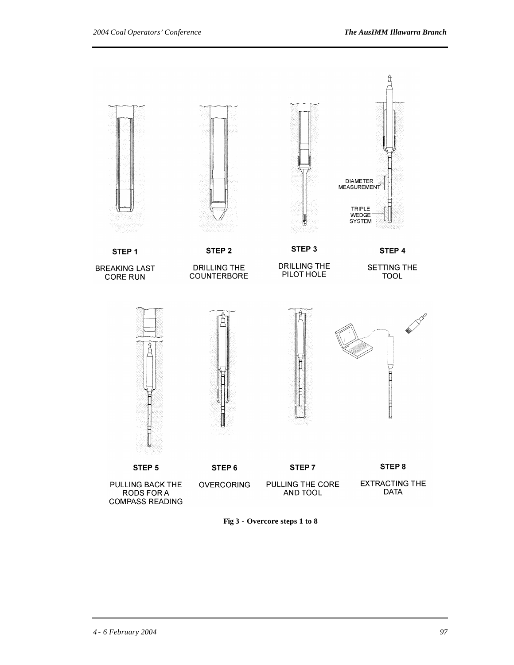

**Fig 3 - Overcore steps 1 to 8**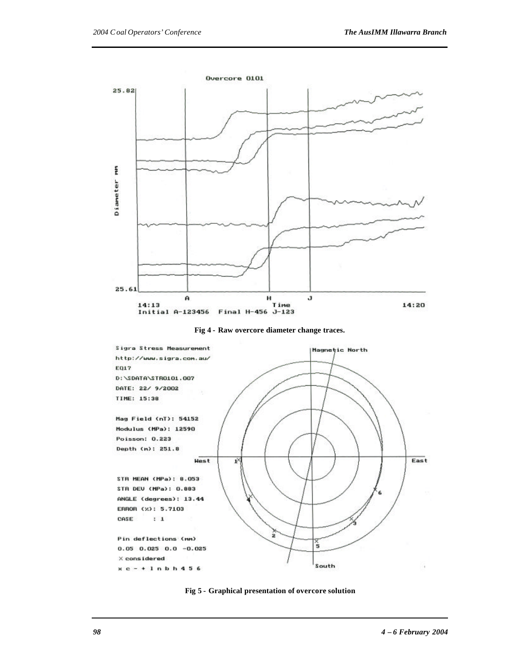

**Fig 4 - Raw overcore diameter change traces.**